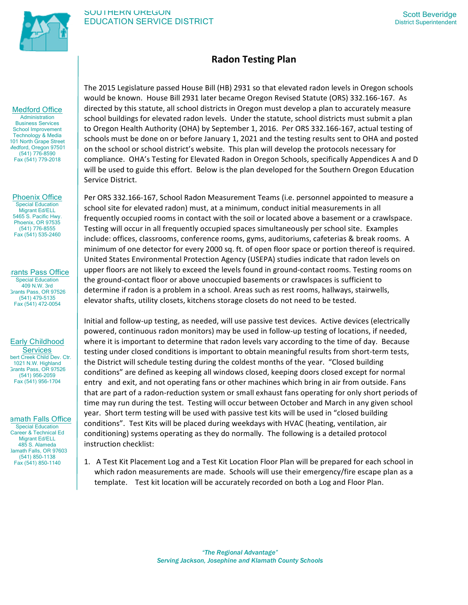

# **Radon Testing Plan**

Medford Office

**Administration** Business Services School Improvement Technology & Media 101 North Grape Street Medford, Oregon 97501 (541) 776-8590 Fax (541) 779-2018

Phoenix Office Special Education Migrant Ed/ELL 5465 S. Pacific Hwy. Phoenix, OR 97535 (541) 776-8555 Fax (541) 535-2460

rants Pass Office Special Education 409 N.W. 3rd Grants Pass, OR 97526 (541) 479-5135 Fax (541) 472-0054

# Early Childhood

**Services** bert Creek Child Dev. Ctr. 1021 N.W. Highland Grants Pass, OR 97526 (541) 956-2059 Fax (541) 956-1704

amath Falls Office

Special Education Career & Technical Ed Migrant Ed/ELL 485 S. Alameda Jamath Falls, OR 97603 (541) 850-1138 Fax (541) 850-1140

The 2015 Legislature passed House Bill (HB) 2931 so that elevated radon levels in Oregon schools would be known. House Bill 2931 later became Oregon Revised Statute (ORS) 332.166-167. As directed by this statute, all school districts in Oregon must develop a plan to accurately measure school buildings for elevated radon levels. Under the statute, school districts must submit a plan to Oregon Health Authority (OHA) by September 1, 2016. Per ORS 332.166-167, actual testing of schools must be done on or before January 1, 2021 and the testing results sent to OHA and posted on the school or school district's website. This plan will develop the protocols necessary for compliance. OHA's Testing for Elevated Radon in Oregon Schools, specifically Appendices A and D will be used to guide this effort. Below is the plan developed for the Southern Oregon Education Service District.

Per ORS 332.166-167, School Radon Measurement Teams (i.e. personnel appointed to measure a school site for elevated radon) must, at a minimum, conduct initial measurements in all frequently occupied rooms in contact with the soil or located above a basement or a crawlspace. Testing will occur in all frequently occupied spaces simultaneously per school site. Examples include: offices, classrooms, conference rooms, gyms, auditoriums, cafeterias & break rooms. A minimum of one detector for every 2000 sq. ft. of open floor space or portion thereof is required. United States Environmental Protection Agency (USEPA) studies indicate that radon levels on upper floors are not likely to exceed the levels found in ground-contact rooms. Testing rooms on the ground-contact floor or above unoccupied basements or crawlspaces is sufficient to determine if radon is a problem in a school. Areas such as rest rooms, hallways, stairwells, elevator shafts, utility closets, kitchens storage closets do not need to be tested.

Initial and follow-up testing, as needed, will use passive test devices. Active devices (electrically powered, continuous radon monitors) may be used in follow-up testing of locations, if needed, where it is important to determine that radon levels vary according to the time of day. Because testing under closed conditions is important to obtain meaningful results from short-term tests, the District will schedule testing during the coldest months of the year. "Closed building conditions" are defined as keeping all windows closed, keeping doors closed except for normal entry and exit, and not operating fans or other machines which bring in air from outside. Fans that are part of a radon-reduction system or small exhaust fans operating for only short periods of time may run during the test. Testing will occur between October and March in any given school year. Short term testing will be used with passive test kits will be used in "closed building conditions". Test Kits will be placed during weekdays with HVAC (heating, ventilation, air conditioning) systems operating as they do normally. The following is a detailed protocol instruction checklist:

1. A Test Kit Placement Log and a Test Kit Location Floor Plan will be prepared for each school in which radon measurements are made. Schools will use their emergency/fire escape plan as a template. Test kit location will be accurately recorded on both a Log and Floor Plan.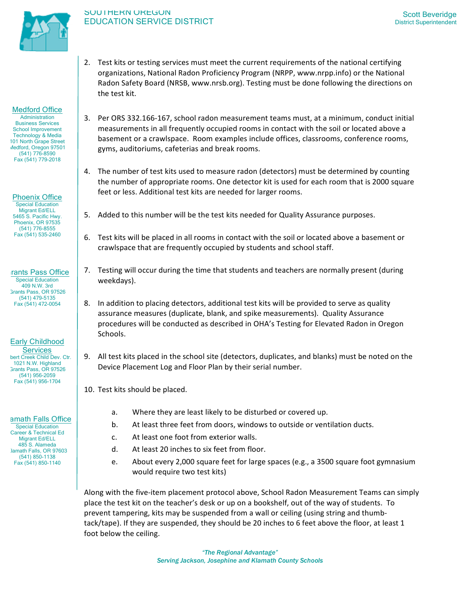

2. Test kits or testing services must meet the current requirements of the national certifying organizations, National Radon Proficiency Program (NRPP, www.nrpp.info) or the National Radon Safety Board (NRSB, www.nrsb.org). Testing must be done following the directions on the test kit.

# Medford Office

**Administration** Business Services School Improvement Technology & Media 101 North Grape Street Medford, Oregon 97501 (541) 776-8590 Fax (541) 779-2018

Phoenix Office Special Education Migrant Ed/ELL 5465 S. Pacific Hwy. Phoenix, OR 97535 (541) 776-8555 Fax (541) 535-2460

rants Pass Office Special Education 409 N.W. 3rd Grants Pass, OR 97526 (541) 479-5135 Fax (541) 472-0054

# Early Childhood

**Services** bert Creek Child Dev. Ctr. 1021 N.W. Highland Grants Pass, OR 97526 (541) 956-2059 Fax (541) 956-1704

## amath Falls Office

Special Education Career & Technical Ed Migrant Ed/ELL 485 S. Alameda Jamath Falls, OR 97603 (541) 850-1138 Fax (541) 850-1140

- 3. Per ORS 332.166-167, school radon measurement teams must, at a minimum, conduct initial measurements in all frequently occupied rooms in contact with the soil or located above a basement or a crawlspace. Room examples include offices, classrooms, conference rooms, gyms, auditoriums, cafeterias and break rooms.
- 4. The number of test kits used to measure radon (detectors) must be determined by counting the number of appropriate rooms. One detector kit is used for each room that is 2000 square feet or less. Additional test kits are needed for larger rooms.
- 5. Added to this number will be the test kits needed for Quality Assurance purposes.
- 6. Test kits will be placed in all rooms in contact with the soil or located above a basement or crawlspace that are frequently occupied by students and school staff.
- 7. Testing will occur during the time that students and teachers are normally present (during weekdays).
- 8. In addition to placing detectors, additional test kits will be provided to serve as quality assurance measures (duplicate, blank, and spike measurements). Quality Assurance procedures will be conducted as described in OHA's Testing for Elevated Radon in Oregon Schools.
- 9. All test kits placed in the school site (detectors, duplicates, and blanks) must be noted on the Device Placement Log and Floor Plan by their serial number.
- 10. Test kits should be placed.
	- a. Where they are least likely to be disturbed or covered up.
	- b. At least three feet from doors, windows to outside or ventilation ducts.
	- c. At least one foot from exterior walls.
	- d. At least 20 inches to six feet from floor.
	- e. About every 2,000 square feet for large spaces (e.g., a 3500 square foot gymnasium would require two test kits)

Along with the five-item placement protocol above, School Radon Measurement Teams can simply place the test kit on the teacher's desk or up on a bookshelf, out of the way of students. To prevent tampering, kits may be suspended from a wall or ceiling (using string and thumbtack/tape). If they are suspended, they should be 20 inches to 6 feet above the floor, at least 1 foot below the ceiling.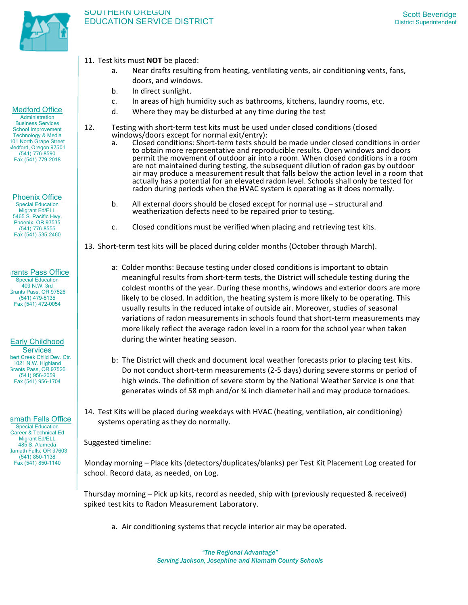

- 11. Test kits must **NOT** be placed:
	- a. Near drafts resulting from heating, ventilating vents, air conditioning vents, fans, doors, and windows.
	- b. In direct sunlight.
	- c. In areas of high humidity such as bathrooms, kitchens, laundry rooms, etc.
	- d. Where they may be disturbed at any time during the test
- 12. Testing with short-term test kits must be used under closed conditions (closed windows/doors except for normal exit/entry):
	- a. Closed conditions: Short-term tests should be made under closed conditions in order to obtain more representative and reproducible results. Open windows and doors permit the movement of outdoor air into a room. When closed conditions in a room are not maintained during testing, the subsequent dilution of radon gas by outdoor air may produce a measurement result that falls below the action level in a room that actually has a potential for an elevated radon level. Schools shall only be tested for radon during periods when the HVAC system is operating as it does normally.
	- b. All external doors should be closed except for normal use  $-$  structural and weatherization defects need to be repaired prior to testing.
	- c. Closed conditions must be verified when placing and retrieving test kits.
- 13. Short-term test kits will be placed during colder months (October through March).
	- a: Colder months: Because testing under closed conditions is important to obtain meaningful results from short-term tests, the District will schedule testing during the coldest months of the year. During these months, windows and exterior doors are more likely to be closed. In addition, the heating system is more likely to be operating. This usually results in the reduced intake of outside air. Moreover, studies of seasonal variations of radon measurements in schools found that short-term measurements may more likely reflect the average radon level in a room for the school year when taken during the winter heating season.
	- b: The District will check and document local weather forecasts prior to placing test kits. Do not conduct short-term measurements (2-5 days) during severe storms or period of high winds. The definition of severe storm by the National Weather Service is one that generates winds of 58 mph and/or  $\frac{3}{4}$  inch diameter hail and may produce tornadoes.
- 14. Test Kits will be placed during weekdays with HVAC (heating, ventilation, air conditioning) systems operating as they do normally.

Suggested timeline:

Monday morning – Place kits (detectors/duplicates/blanks) per Test Kit Placement Log created for school. Record data, as needed, on Log.

Thursday morning – Pick up kits, record as needed, ship with (previously requested & received) spiked test kits to Radon Measurement Laboratory.

a. Air conditioning systems that recycle interior air may be operated.

# Medford Office

**Administration** Business Services School Improvement Technology & Media 101 North Grape Street Medford, Oregon 97501 (541) 776-8590 Fax (541) 779-2018

Phoenix Office Special Education

Migrant Ed/ELL 5465 S. Pacific Hwy. Phoenix, OR 97535 (541) 776-8555 Fax (541) 535-2460

rants Pass Office Special Education 409 N.W. 3rd Grants Pass, OR 97526 (541) 479-5135 Fax (541) 472-0054

# Early Childhood

**Services** bert Creek Child Dev. Ctr. 1021 N.W. Highland Grants Pass, OR 97526 (541) 956-2059 Fax (541) 956-1704

# amath Falls Office

Special Education Career & Technical Ed Migrant Ed/ELL 485 S. Alameda Jamath Falls, OR 97603 (541) 850-1138 Fax (541) 850-1140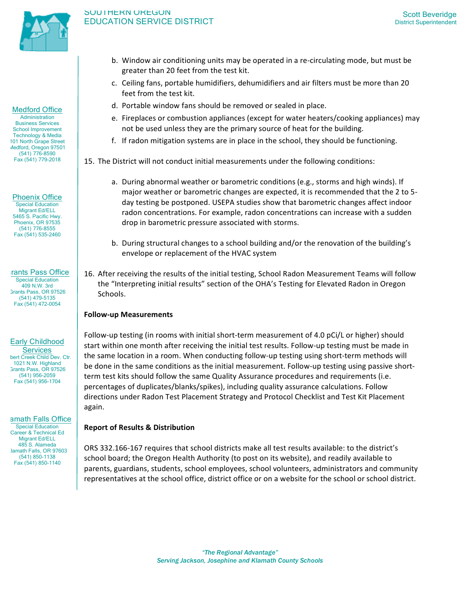

# SOUTHERN OREGON SOUTHERIN OREGON<br>EDUCATION SERVICE DISTRICT STATES SCOTTING SCOTT DISTRICT Superintendent

Medford Office

Administration Business Services School Improvement Technology & Media 101 North Grape Street Medford, Oregon 97501 (541) 776-8590 Fax (541) 779-2018

Phoenix Office Special Education Migrant Ed/ELL 5465 S. Pacific Hwy. Phoenix, OR 97535 (541) 776-8555 Fax (541) 535-2460

rants Pass Office Special Education 409 N.W. 3rd Grants Pass, OR 97526 (541) 479-5135 Fax (541) 472-0054

# Early Childhood

**Services** bert Creek Child Dev. Ctr. 1021 N.W. Highland Grants Pass, OR 97526 (541) 956-2059 Fax (541) 956-1704

amath Falls Office

Special Education Career & Technical Ed Migrant Ed/ELL 485 S. Alameda Jamath Falls, OR 97603 (541) 850-1138 Fax (541) 850-1140

- b. Window air conditioning units may be operated in a re-circulating mode, but must be greater than 20 feet from the test kit.
- c. Ceiling fans, portable humidifiers, dehumidifiers and air filters must be more than 20 feet from the test kit.
- d. Portable window fans should be removed or sealed in place.
- e. Fireplaces or combustion appliances (except for water heaters/cooking appliances) may not be used unless they are the primary source of heat for the building.
- f. If radon mitigation systems are in place in the school, they should be functioning.
- 15. The District will not conduct initial measurements under the following conditions:
	- a. During abnormal weather or barometric conditions (e.g., storms and high winds). If major weather or barometric changes are expected, it is recommended that the 2 to 5day testing be postponed. USEPA studies show that barometric changes affect indoor radon concentrations. For example, radon concentrations can increase with a sudden drop in barometric pressure associated with storms.
	- b. During structural changes to a school building and/or the renovation of the building's envelope or replacement of the HVAC system
- 16. After receiving the results of the initial testing, School Radon Measurement Teams will follow the "Interpreting initial results" section of the OHA's Testing for Elevated Radon in Oregon Schools.

# **Follow-up Measurements**

Follow-up testing (in rooms with initial short-term measurement of 4.0 pCi/L or higher) should start within one month after receiving the initial test results. Follow-up testing must be made in the same location in a room. When conducting follow-up testing using short-term methods will be done in the same conditions as the initial measurement. Follow-up testing using passive shortterm test kits should follow the same Quality Assurance procedures and requirements (i.e. percentages of duplicates/blanks/spikes), including quality assurance calculations. Follow directions under Radon Test Placement Strategy and Protocol Checklist and Test Kit Placement again.

# **Report of Results & Distribution**

ORS 332.166-167 requires that school districts make all test results available: to the district's school board; the Oregon Health Authority (to post on its website), and readily available to parents, guardians, students, school employees, school volunteers, administrators and community representatives at the school office, district office or on a website for the school or school district.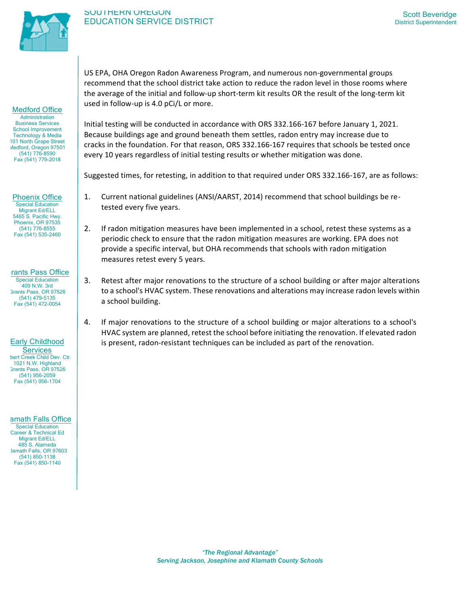

Medford Office **Administration** Business Services School Improvement Technology & Media 101 North Grape Street Medford, Oregon 97501 (541) 776-8590 Fax (541) 779-2018

## SOUTHERN OREGON SOUTHERIN OREGON<br>EDUCATION SERVICE DISTRICT STATES SCOTTING SCOTT DISTRICT Superintendent

US EPA, OHA Oregon Radon Awareness Program, and numerous non-governmental groups recommend that the school district take action to reduce the radon level in those rooms where the average of the initial and follow-up short-term kit results OR the result of the long-term kit used in follow-up is 4.0 pCi/L or more.

Initial testing will be conducted in accordance with ORS 332.166-167 before January 1, 2021. Because buildings age and ground beneath them settles, radon entry may increase due to cracks in the foundation. For that reason, ORS 332.166-167 requires that schools be tested once every 10 years regardless of initial testing results or whether mitigation was done.

Suggested times, for retesting, in addition to that required under ORS 332.166-167, are as follows:

- 1. Current national guidelines (ANSI/AARST, 2014) recommend that school buildings be retested every five years.
- 2. If radon mitigation measures have been implemented in a school, retest these systems as a periodic check to ensure that the radon mitigation measures are working. EPA does not provide a specific interval, but OHA recommends that schools with radon mitigation measures retest every 5 years.
- 3. Retest after major renovations to the structure of a school building or after major alterations to a school's HVAC system. These renovations and alterations may increase radon levels within a school building.
- 4. If major renovations to the structure of a school building or major alterations to a school's HVAC system are planned, retest the school before initiating the renovation. If elevated radon is present, radon-resistant techniques can be included as part of the renovation.

# (541) 776-8555 Fax (541) 535-2460

Phoenix Office Special Education Migrant Ed/ELL 5465 S. Pacific Hwy. Phoenix, OR 97535

#### rants Pass Office Special Education 409 N.W. 3rd Grants Pass, OR 97526 (541) 479-5135

Fax (541) 472-0054

# Early Childhood

**Services** bert Creek Child Dev. Ctr. 1021 N.W. Highland Grants Pass, OR 97526 (541) 956-2059 Fax (541) 956-1704

# amath Falls Office

Special Education Career & Technical Ed Migrant Ed/ELL 485 S. Alameda Klamath Falls, OR 97603 (541) 850-1138 Fax (541) 850-1140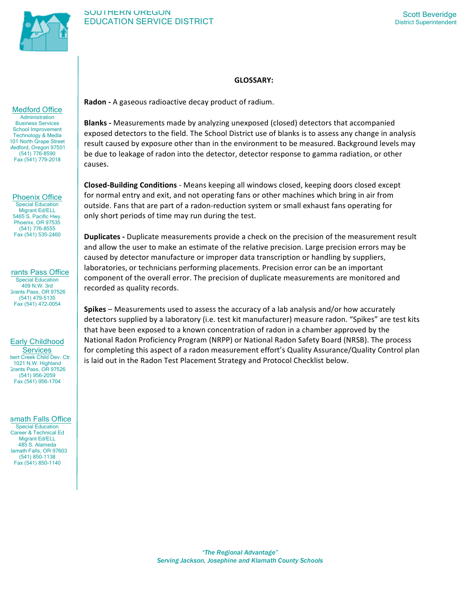

# **GLOSSARY:**

Medford Office

**Administration** Business Services School Improvement Technology & Media 101 North Grape Street Medford, Oregon 97501 (541) 776-8590 Fax (541) 779-2018

Phoenix Office Special Education Migrant Ed/ELL 5465 S. Pacific Hwy. Phoenix, OR 97535 (541) 776-8555 Fax (541) 535-2460

rants Pass Office Special Education 409 N.W. 3rd Grants Pass, OR 97526 (541) 479-5135 Fax (541) 472-0054

# Early Childhood

**Services** bert Creek Child Dev. Ctr. 1021 N.W. Highland Grants Pass, OR 97526 (541) 956-2059 Fax (541) 956-1704

# amath Falls Office

Special Education Career & Technical Ed Migrant Ed/ELL 485 S. Alameda Klamath Falls, OR 97603 (541) 850-1138 Fax (541) 850-1140

**Radon -** A gaseous radioactive decay product of radium.

**Blanks** - Measurements made by analyzing unexposed (closed) detectors that accompanied exposed detectors to the field. The School District use of blanks is to assess any change in analysis result caused by exposure other than in the environment to be measured. Background levels may be due to leakage of radon into the detector, detector response to gamma radiation, or other causes.

**Closed-Building Conditions** - Means keeping all windows closed, keeping doors closed except for normal entry and exit, and not operating fans or other machines which bring in air from outside. Fans that are part of a radon-reduction system or small exhaust fans operating for only short periods of time may run during the test.

**Duplicates** - Duplicate measurements provide a check on the precision of the measurement result and allow the user to make an estimate of the relative precision. Large precision errors may be caused by detector manufacture or improper data transcription or handling by suppliers, laboratories, or technicians performing placements. Precision error can be an important component of the overall error. The precision of duplicate measurements are monitored and recorded as quality records.

**Spikes** – Measurements used to assess the accuracy of a lab analysis and/or how accurately detectors supplied by a laboratory (i.e. test kit manufacturer) measure radon. "Spikes" are test kits that have been exposed to a known concentration of radon in a chamber approved by the National Radon Proficiency Program (NRPP) or National Radon Safety Board (NRSB). The process for completing this aspect of a radon measurement effort's Quality Assurance/Quality Control plan is laid out in the Radon Test Placement Strategy and Protocol Checklist below.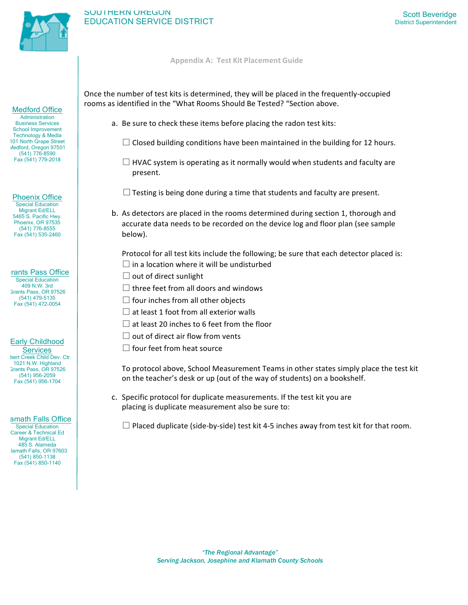

# SOUTHERN OREGON SOUTHERN OREGON NEWSTEET STATES AND SCOTT SCOTT SCOTT SCOTT SCOTT SCOTT SCOTT SUPERINT SUPERINT SUPERINT SUPERINT<br>SCOTT SERVICE DISTRICT SUPERINT SUPERINT SUPERINT SUPERINT SUPERINT SUPERINT SUPERINT SUPERINT SUPERINT SUPE

#### **Appendix A: Test Kit Placement Guide**

Once the number of test kits is determined, they will be placed in the frequently-occupied rooms as identified in the "What Rooms Should Be Tested? "Section above.

- a. Be sure to check these items before placing the radon test kits:
	- $\Box$  Closed building conditions have been maintained in the building for 12 hours.
	- $\Box$  HVAC system is operating as it normally would when students and faculty are present.
	- $\square$  Testing is being done during a time that students and faculty are present.
- b. As detectors are placed in the rooms determined during section 1, thorough and accurate data needs to be recorded on the device log and floor plan (see sample below).

Protocol for all test kits include the following; be sure that each detector placed is:  $\square$  in a location where it will be undisturbed

- $\Box$  out of direct sunlight
- $\Box$  three feet from all doors and windows
- $\Box$  four inches from all other objects
- $\Box$  at least 1 foot from all exterior walls
- $\square$  at least 20 inches to 6 feet from the floor
- $\square$  out of direct air flow from vents
- $\square$  four feet from heat source

To protocol above, School Measurement Teams in other states simply place the test kit on the teacher's desk or up (out of the way of students) on a bookshelf.

c. Specific protocol for duplicate measurements. If the test kit you are placing is duplicate measurement also be sure to:

 $\square$  Placed duplicate (side-by-side) test kit 4-5 inches away from test kit for that room.

#### Medford Office

**Administration** Business Services School Improvement Technology & Media 101 North Grape Street Medford, Oregon 97501 (541) 776-8590 Fax (541) 779-2018

Phoenix Office Special Education Migrant Ed/ELL 5465 S. Pacific Hwy. Phoenix, OR 97535 (541) 776-8555 Fax (541) 535-2460

#### rants Pass Office Special Education 409 N.W. 3rd

Grants Pass, OR 97526 (541) 479-5135 Fax (541) 472-0054

# Early Childhood

**Services** bert Creek Child Dev. Ctr. 1021 N.W. Highland Grants Pass, OR 97526 (541) 956-2059 Fax (541) 956-1704

## amath Falls Office

Special Education Career & Technical Ed Migrant Ed/ELL 485 S. Alameda Jamath Falls, OR 97603 (541) 850-1138 Fax (541) 850-1140